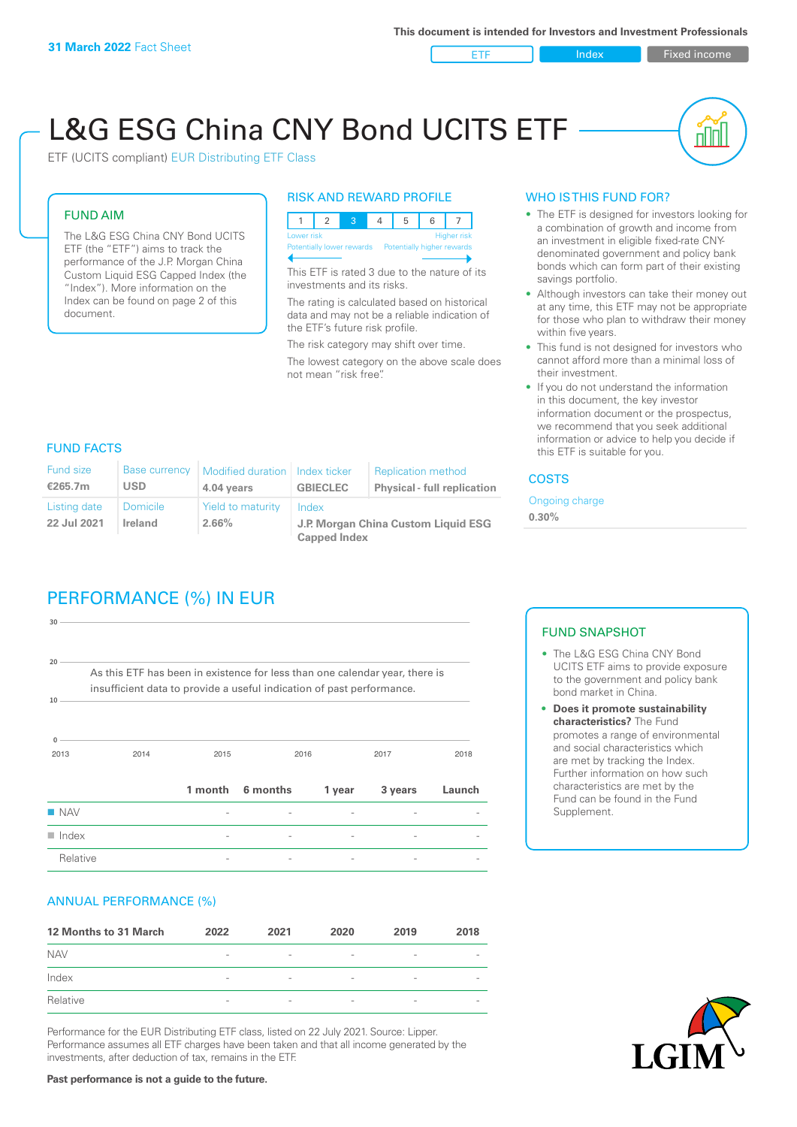ETF Index Fixed income

nl Inl

# L&G ESG China CNY Bond UCITS ETF

ETF (UCITS compliant) EUR Distributing ETF Class

#### FUND AIM

The L&G ESG China CNY Bond UCITS ETF (the "ETF") aims to track the performance of the J.P. Morgan China Custom Liquid ESG Capped Index (the "Index"). More information on the Index can be found on page 2 of this document.

#### RISK AND REWARD PROFILE



This ETF is rated 3 due to the nature of its investments and its risks.

The rating is calculated based on historical data and may not be a reliable indication of the ETF's future risk profile.

The risk category may shift over time. The lowest category on the above scale does not mean "risk free".

## WHO IS THIS FUND FOR?

- The ETF is designed for investors looking for a combination of growth and income from an investment in eligible fixed-rate CNYdenominated government and policy bank bonds which can form part of their existing savings portfolio.
- Although investors can take their money out at any time, this ETF may not be appropriate for those who plan to withdraw their money within five years.
- This fund is not designed for investors who cannot afford more than a minimal loss of their investment.
- If you do not understand the information in this document, the key investor information document or the prospectus, we recommend that you seek additional information or advice to help you decide if this ETF is suitable for you.

#### FUND FACTS

| <b>Fund size</b><br>€265.7m | <b>Base currency</b><br>USD | Modified duration   Index ticker<br>4.04 years | <b>GBIECLEC</b>                              | <b>Replication method</b><br><b>Physical - full replication</b> | <b>COSTS</b>            |  |
|-----------------------------|-----------------------------|------------------------------------------------|----------------------------------------------|-----------------------------------------------------------------|-------------------------|--|
| Listing date<br>22 Jul 2021 | <b>Domicile</b><br>Ireland  | Yield to maturity<br>2.66%                     | Index<br>J.P. Morgan China Custom Liquid ESG |                                                                 | Ongoing charge<br>0.30% |  |
|                             |                             |                                                | <b>Capped Index</b>                          |                                                                 |                         |  |

# PERFORMANCE (%) IN EUR

| Relative              |                                                                                                                                                      |         |          |        |         |        |
|-----------------------|------------------------------------------------------------------------------------------------------------------------------------------------------|---------|----------|--------|---------|--------|
| $\blacksquare$ Index  |                                                                                                                                                      |         |          |        |         |        |
| $\blacksquare$ NAV    |                                                                                                                                                      |         |          |        |         |        |
|                       |                                                                                                                                                      | 1 month | 6 months | 1 year | 3 years | Launch |
| $\Omega$<br>2013      | 2014                                                                                                                                                 | 2015    |          | 2016   | 2017    | 2018   |
| 10                    | As this ETF has been in existence for less than one calendar year, there is<br>insufficient data to provide a useful indication of past performance. |         |          |        |         |        |
| 30<br>20 <sup>1</sup> |                                                                                                                                                      |         |          |        |         |        |
|                       |                                                                                                                                                      |         |          |        |         |        |

### ANNUAL PERFORMANCE (%)

| 12 Months to 31 March | 2022                     | 2021                     | 2020                     | 2019            | 2018                     |
|-----------------------|--------------------------|--------------------------|--------------------------|-----------------|--------------------------|
| <b>NAV</b>            | $\overline{\phantom{0}}$ | $\overline{\phantom{a}}$ | $\overline{\phantom{a}}$ | $\qquad \qquad$ | $\overline{\phantom{a}}$ |
| Index                 | $\qquad \qquad$          | $\overline{\phantom{a}}$ | $\overline{\phantom{a}}$ | $\qquad \qquad$ | $\overline{\phantom{a}}$ |
| Relative              | $\overline{\phantom{a}}$ | $\sim$                   | $\overline{\phantom{a}}$ | $\sim$          | $\overline{\phantom{a}}$ |

Performance for the EUR Distributing ETF class, listed on 22 July 2021. Source: Lipper. Performance assumes all ETF charges have been taken and that all income generated by the investments, after deduction of tax, remains in the ETF.

# FUND SNAPSHOT

- The L&G ESG China CNY Bond UCITS ETF aims to provide exposure to the government and policy bank bond market in China.
- **• Does it promote sustainability characteristics?** The Fund promotes a range of environmental and social characteristics which are met by tracking the Index. Further information on how such characteristics are met by the Fund can be found in the Fund Supplement.



**Past performance is not a guide to the future.**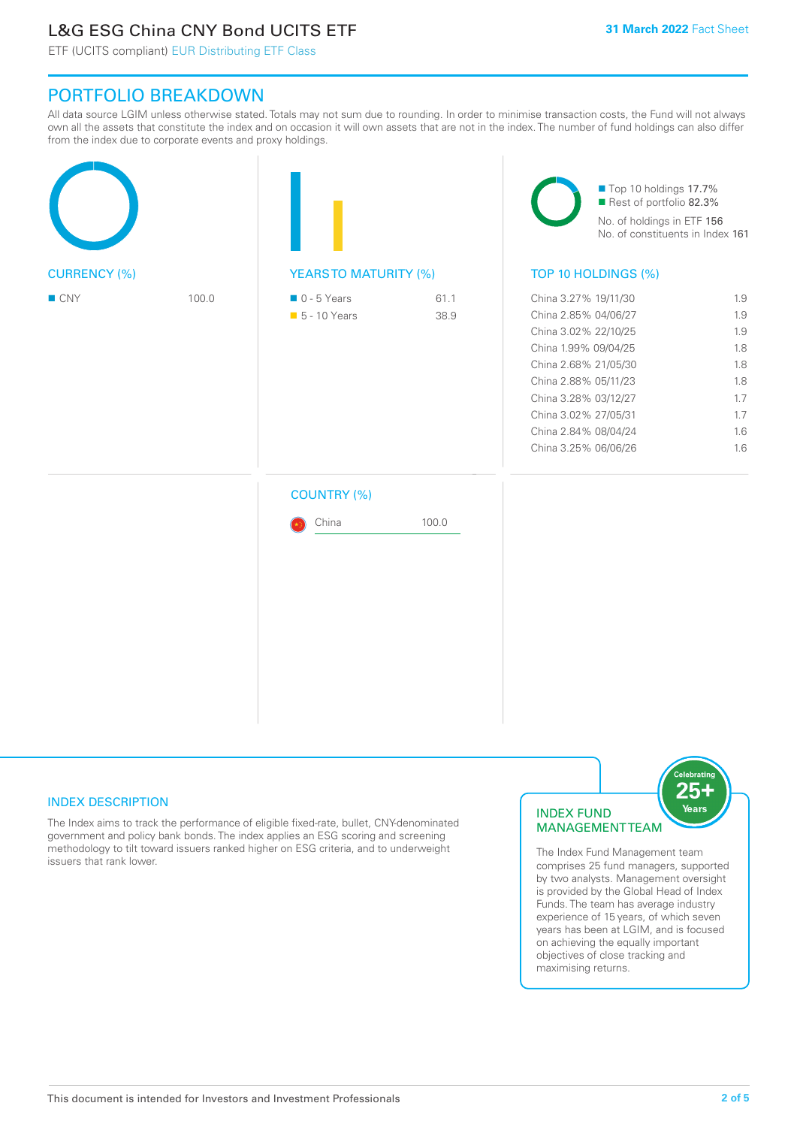# L&G ESG China CNY Bond UCITS ETF

ETF (UCITS compliant) EUR Distributing ETF Class

# PORTFOLIO BREAKDOWN

All data source LGIM unless otherwise stated. Totals may not sum due to rounding. In order to minimise transaction costs, the Fund will not always own all the assets that constitute the index and on occasion it will own assets that are not in the index. The number of fund holdings can also differ from the index due to corporate events and proxy holdings.

|       |                                              |              | Top 10 holdings 17.7%<br>Rest of portfolio 82.3%<br>No. of holdings in ETF 156<br>No. of constituents in Index 161                                                                                                                           |                                                                    |  |
|-------|----------------------------------------------|--------------|----------------------------------------------------------------------------------------------------------------------------------------------------------------------------------------------------------------------------------------------|--------------------------------------------------------------------|--|
|       | <b>YEARSTO MATURITY (%)</b>                  |              | TOP 10 HOLDINGS (%)                                                                                                                                                                                                                          |                                                                    |  |
| 100.0 | $\blacksquare$ 0 - 5 Years<br>• 5 - 10 Years | 61.1<br>38.9 | China 3.27% 19/11/30<br>China 2.85% 04/06/27<br>China 3.02% 22/10/25<br>China 1.99% 09/04/25<br>China 2.68% 21/05/30<br>China 2.88% 05/11/23<br>China 3.28% 03/12/27<br>China 3.02% 27/05/31<br>China 2.84% 08/04/24<br>China 3.25% 06/06/26 | 1.9<br>1.9<br>1.9<br>1.8<br>1.8<br>1.8<br>1.7<br>1.7<br>1.6<br>1.6 |  |
|       | <b>COUNTRY (%)</b>                           |              |                                                                                                                                                                                                                                              |                                                                    |  |
|       | China                                        | 100.0        |                                                                                                                                                                                                                                              |                                                                    |  |
|       |                                              |              |                                                                                                                                                                                                                                              |                                                                    |  |
|       |                                              |              |                                                                                                                                                                                                                                              |                                                                    |  |

## INDEX DESCRIPTION

The Index aims to track the performance of eligible fixed-rate, bullet, CNY-denominated government and policy bank bonds. The index applies an ESG scoring and screening methodology to tilt toward issuers ranked higher on ESG criteria, and to underweight issuers that rank lower.

## INDEX FUND MANAGEMENT TEAM



The Index Fund Management team comprises 25 fund managers, supported by two analysts. Management oversight is provided by the Global Head of Index Funds. The team has average industry experience of 15 years, of which seven years has been at LGIM, and is focused on achieving the equally important objectives of close tracking and maximising returns.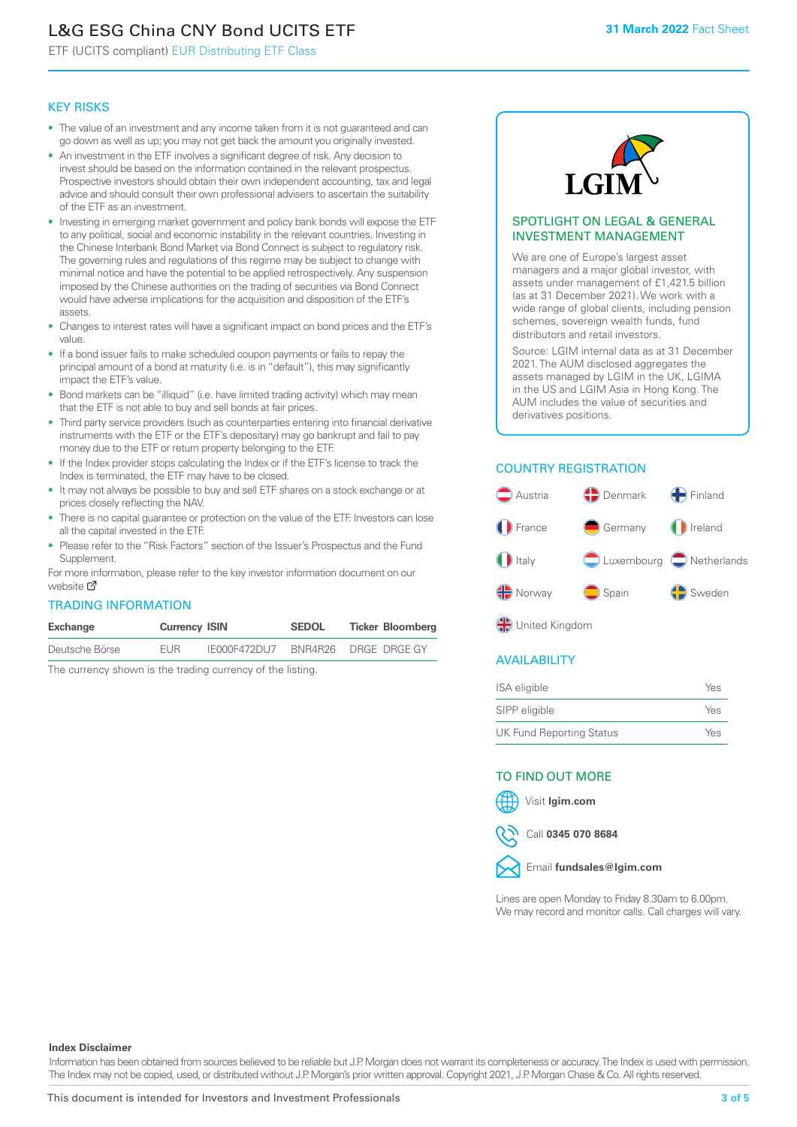# L&G ESG China CNY Bond UCITS ETF

ETF (UCITS compliant) EUR Distributing ETF Class

#### KEY RISKS

- The value of an investment and any income taken from it is not guaranteed and can go down as well as up; you may not get back the amount you originally invested.
- An investment in the ETF involves a significant degree of risk. Any decision to invest should be based on the information contained in the relevant prospectus. Prospective investors should obtain their own independent accounting, tax and legal advice and should consult their own professional advisers to ascertain the suitability of the ETF as an investment.
- Investing in emerging market government and policy bank bonds will expose the ETF to any political, social and economic instability in the relevant countries. Investing in the Chinese Interbank Bond Market via Bond Connect is subject to regulatory risk. The governing rules and regulations of this regime may be subject to change with minimal notice and have the potential to be applied retrospectively. Any suspension imposed by the Chinese authorities on the trading of securities via Bond Connect would have adverse implications for the acquisition and disposition of the ETF's assets.
- Changes to interest rates will have a significant impact on bond prices and the ETF's value.
- If a bond issuer fails to make scheduled coupon payments or fails to repay the principal amount of a bond at maturity (i.e. is in "default"), this may significantly impact the ETF's value.
- Bond markets can be "illiquid" (i.e. have limited trading activity) which may mean that the ETF is not able to buy and sell bonds at fair prices.
- Third party service providers (such as counterparties entering into financial derivative instruments with the ETF or the ETF's depositary) may go bankrupt and fail to pay money due to the ETF or return property belonging to the ETF.
- If the Index provider stops calculating the Index or if the ETF's license to track the Index is terminated, the ETF may have to be closed.
- It may not always be possible to buy and sell ETF shares on a stock exchange or at prices closely reflecting the NAV.
- There is no capital guarantee or protection on the value of the ETF. Investors can lose all the capital invested in the ETF.
- Please refer to the "Risk Factors" section of the Issuer's Prospectus and the Fund Supplement.

For mo[re inf](https://www.lgimetf.com/)ormation, please refer to the key investor information document on our website M

#### TRADING INFORMATION

| Exchange       | <b>Currency ISIN</b> |              | <b>SEDOL</b> | <b>Ticker Bloomberg</b> |
|----------------|----------------------|--------------|--------------|-------------------------|
| Deutsche Börse | <b>FUR</b>           | IE000F472DU7 |              | BNR4R26 DRGE DRGE GY    |

The currency shown is the trading currency of the listing.



#### SPOTLIGHT ON LEGAL & GENERAL INVESTMENT MANAGEMENT

We are one of Europe's largest asset managers and a major global investor, with assets under management of £1,421.5 billion (as at 31 December 2021). We work with a wide range of global clients, including pension schemes, sovereign wealth funds, fund distributors and retail investors.

Source: LGIM internal data as at 31 December 2021. The AUM disclosed aggregates the assets managed by LGIM in the UK, LGIMA in the US and LGIM Asia in Hong Kong. The AUM includes the value of securities and derivatives positions.

## COUNTRY REGISTRATION



**OR** United Kingdom

## AVAILABILITY

| ISA eligible                    | Yes |
|---------------------------------|-----|
| SIPP eligible                   | Yes |
| <b>UK Fund Reporting Status</b> | Yes |

#### TO FIND OUT MORE



Call **0345 070 8684**



Lines are open Monday to Friday 8.30am to 6.00pm. We may record and monitor calls. Call charges will vary.

**Index Disclaimer**

Information has been obtained from sources believed to be reliable but J.P. Morgan does not warrant its completeness or accuracy. The Index is used with permission. The Index may not be copied, used, or distributed without J.P. Morgan's prior written approval. Copyright 2021, J.P. Morgan Chase & Co. All rights reserved.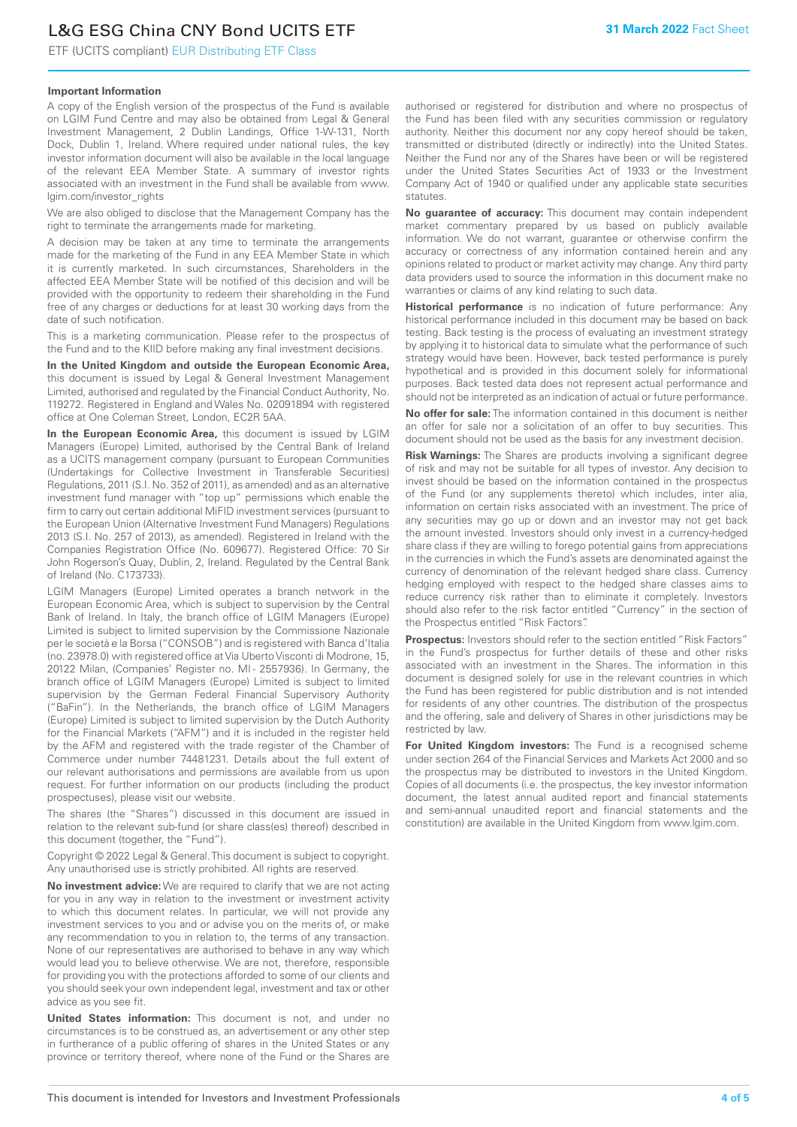# L&G ESG China CNY Bond UCITS ETF

ETF (UCITS compliant) EUR Distributing ETF Class

## **Important Information**

A copy of the English version of the prospectus of the Fund is available on LGIM Fund Centre and may also be obtained from Legal & General Investment Management, 2 Dublin Landings, Office 1-W-131, North Dock, Dublin 1, Ireland. Where required under national rules, the key investor information document will also be available in the local language of the relevant EEA Member State. A summary of investor rights associated with an investment in the Fund shall be available from www. lgim.com/investor\_rights

We are also obliged to disclose that the Management Company has the right to terminate the arrangements made for marketing.

A decision may be taken at any time to terminate the arrangements made for the marketing of the Fund in any EEA Member State in which it is currently marketed. In such circumstances, Shareholders in the affected EEA Member State will be notified of this decision and will be provided with the opportunity to redeem their shareholding in the Fund free of any charges or deductions for at least 30 working days from the date of such notification.

This is a marketing communication. Please refer to the prospectus of the Fund and to the KIID before making any final investment decisions.

**In the United Kingdom and outside the European Economic Area,** this document is issued by Legal & General Investment Management Limited, authorised and regulated by the Financial Conduct Authority, No. 119272. Registered in England and Wales No. 02091894 with registered office at One Coleman Street, London, EC2R 5AA.

**In the European Economic Area,** this document is issued by LGIM Managers (Europe) Limited, authorised by the Central Bank of Ireland as a UCITS management company (pursuant to European Communities (Undertakings for Collective Investment in Transferable Securities) Regulations, 2011 (S.I. No. 352 of 2011), as amended) and as an alternative investment fund manager with "top up" permissions which enable the firm to carry out certain additional MiFID investment services (pursuant to the European Union (Alternative Investment Fund Managers) Regulations 2013 (S.I. No. 257 of 2013), as amended). Registered in Ireland with the Companies Registration Office (No. 609677). Registered Office: 70 Sir John Rogerson's Quay, Dublin, 2, Ireland. Regulated by the Central Bank of Ireland (No. C173733).

LGIM Managers (Europe) Limited operates a branch network in the European Economic Area, which is subject to supervision by the Central Bank of Ireland. In Italy, the branch office of LGIM Managers (Europe) Limited is subject to limited supervision by the Commissione Nazionale per le società e la Borsa ("CONSOB") and is registered with Banca d'Italia (no. 23978.0) with registered office at Via Uberto Visconti di Modrone, 15, 20122 Milan, (Companies' Register no. MI - 2557936). In Germany, the branch office of LGIM Managers (Europe) Limited is subject to limited supervision by the German Federal Financial Supervisory Authority ("BaFin"). In the Netherlands, the branch office of LGIM Managers (Europe) Limited is subject to limited supervision by the Dutch Authority for the Financial Markets ("AFM") and it is included in the register held by the AFM and registered with the trade register of the Chamber of Commerce under number 74481231. Details about the full extent of our relevant authorisations and permissions are available from us upon request. For further information on our products (including the product prospectuses), please visit our website.

The shares (the "Shares") discussed in this document are issued in relation to the relevant sub-fund (or share class(es) thereof) described in this document (together, the "Fund").

Copyright © 2022 Legal & General. This document is subject to copyright. Any unauthorised use is strictly prohibited. All rights are reserved.

**No investment advice:** We are required to clarify that we are not acting for you in any way in relation to the investment or investment activity to which this document relates. In particular, we will not provide any investment services to you and or advise you on the merits of, or make any recommendation to you in relation to, the terms of any transaction. None of our representatives are authorised to behave in any way which would lead you to believe otherwise. We are not, therefore, responsible for providing you with the protections afforded to some of our clients and you should seek your own independent legal, investment and tax or other advice as you see fit.

**United States information:** This document is not, and under no circumstances is to be construed as, an advertisement or any other step in furtherance of a public offering of shares in the United States or any province or territory thereof, where none of the Fund or the Shares are authorised or registered for distribution and where no prospectus of the Fund has been filed with any securities commission or regulatory authority. Neither this document nor any copy hereof should be taken, transmitted or distributed (directly or indirectly) into the United States. Neither the Fund nor any of the Shares have been or will be registered under the United States Securities Act of 1933 or the Investment Company Act of 1940 or qualified under any applicable state securities statutes.

**No guarantee of accuracy:** This document may contain independent market commentary prepared by us based on publicly available information. We do not warrant, guarantee or otherwise confirm the accuracy or correctness of any information contained herein and any opinions related to product or market activity may change. Any third party data providers used to source the information in this document make no warranties or claims of any kind relating to such data.

**Historical performance** is no indication of future performance: Any historical performance included in this document may be based on back testing. Back testing is the process of evaluating an investment strategy by applying it to historical data to simulate what the performance of such strategy would have been. However, back tested performance is purely hypothetical and is provided in this document solely for informational purposes. Back tested data does not represent actual performance and should not be interpreted as an indication of actual or future performance.

**No offer for sale:** The information contained in this document is neither an offer for sale nor a solicitation of an offer to buy securities. This document should not be used as the basis for any investment decision.

**Risk Warnings:** The Shares are products involving a significant degree of risk and may not be suitable for all types of investor. Any decision to invest should be based on the information contained in the prospectus of the Fund (or any supplements thereto) which includes, inter alia, information on certain risks associated with an investment. The price of any securities may go up or down and an investor may not get back the amount invested. Investors should only invest in a currency-hedged share class if they are willing to forego potential gains from appreciations in the currencies in which the Fund's assets are denominated against the currency of denomination of the relevant hedged share class. Currency hedging employed with respect to the hedged share classes aims to reduce currency risk rather than to eliminate it completely. Investors should also refer to the risk factor entitled "Currency" in the section of the Prospectus entitled "Risk Factors".

**Prospectus:** Investors should refer to the section entitled "Risk Factors" in the Fund's prospectus for further details of these and other risks associated with an investment in the Shares. The information in this document is designed solely for use in the relevant countries in which the Fund has been registered for public distribution and is not intended for residents of any other countries. The distribution of the prospectus and the offering, sale and delivery of Shares in other jurisdictions may be restricted by law.

**For United Kingdom investors:** The Fund is a recognised scheme under section 264 of the Financial Services and Markets Act 2000 and so the prospectus may be distributed to investors in the United Kingdom. Copies of all documents (i.e. the prospectus, the key investor information document, the latest annual audited report and financial statements and semi-annual unaudited report and financial statements and the constitution) are available in the United Kingdom from www.lgim.com.